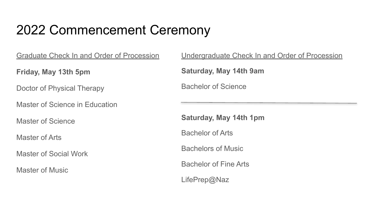### 2022 Commencement Ceremony

Graduate Check In and Order of Procession

**Friday, May 13th 5pm**

Doctor of Physical Therapy

Master of Science in Education

Master of Science

Master of Arts

Master of Social Work

Master of Music

Undergraduate Check In and Order of Procession

**Saturday, May 14th 9am**

Bachelor of Science

**Saturday, May 14th 1pm**

Bachelor of Arts

Bachelors of Music

Bachelor of Fine Arts

LifePrep@Naz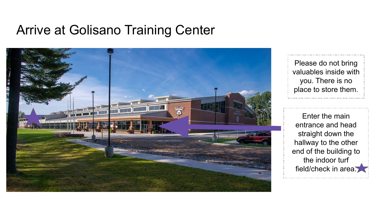#### Arrive at Golisano Training Center



Please do not bring valuables inside with you. There is no place to store them.

Enter the main entrance and head straight down the hallway to the other end of the building to the indoor turf field/check in area.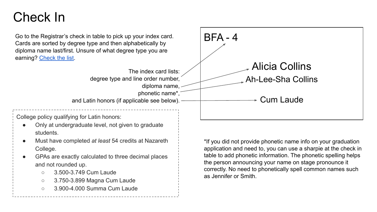#### Check In

Go to the Registrar's check in table to pick up your index card. Cards are sorted by degree type and then alphabetically by diploma name last/first. Unsure of what degree type you are earning? [Check the list.](https://docs.google.com/spreadsheets/d/18hrd6YVDg2YGhHQmvaZQD9UvDHS9flRkkR3zdCh2cSc/edit#gid=1956832960)

The index card lists: degree type and line order number, diploma name, phonetic name\*, and Latin honors (if applicable see below). BFA - 4 Alicia Collins Ah-Lee-Sha Collins Cum Laude

College policy qualifying for Latin honors:

- Only at undergraduate level, not given to graduate students.
- Must have completed *at least* 54 credits at Nazareth College.
- GPAs are exactly calculated to three decimal places and not rounded up.
	- 3.500-3.749 Cum Laude
	- 3.750-3.899 Magna Cum Laude
	- 3.900-4.000 Summa Cum Laude

\*If you did not provide phonetic name info on your graduation application and need to, you can use a sharpie at the check in table to add phonetic information. The phonetic spelling helps the person announcing your name on stage pronounce it correctly. No need to phonetically spell common names such as Jennifer or Smith.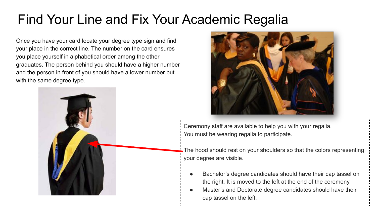### Find Your Line and Fix Your Academic Regalia

Once you have your card locate your degree type sign and find your place in the correct line. The number on the card ensures you place yourself in alphabetical order among the other graduates. The person behind you should have a higher number and the person in front of you should have a lower number but with the same degree type.





Ceremony staff are available to help you with your regalia. You must be wearing regalia to participate.

The hood should rest on your shoulders so that the colors representing your degree are visible.

- Bachelor's degree candidates should have their cap tassel on the right. It is moved to the left at the end of the ceremony.
- Master's and Doctorate degree candidates should have their cap tassel on the left.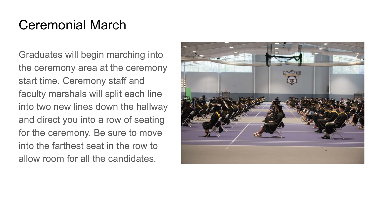### Ceremonial March

Graduates will begin marching into the ceremony area at the ceremony start time. Ceremony staff and faculty marshals will split each line into two new lines down the hallway and direct you into a row of seating for the ceremony. Be sure to move into the farthest seat in the row to allow room for all the candidates.

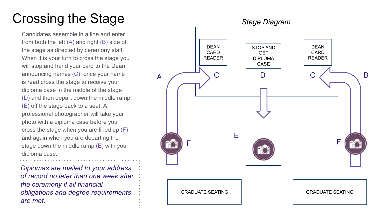# Crossing the Stage

Candidates assemble in a line and enter from both the left (A) and right (B) side of the stage as directed by ceremony staff. When it is your turn to cross the stage you will stop and hand your card to the Dean announcing names (C), once your name is read cross the stage to receive your diploma case in the middle of the stage (D) and then depart down the middle ramp (E) off the stage back to a seat. A professional photographer will take your photo with a diploma case before you cross the stage when you are lined up (F) and again when you are departing the stage down the middle ramp (E) with your diploma case.

*Diplomas are mailed to your address of record no later than one week after the ceremony if all financial obligations and degree requirements are met.*